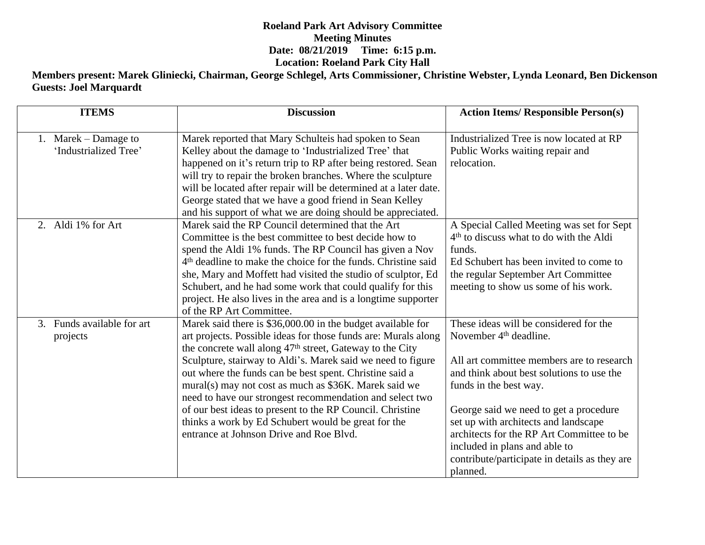## **Roeland Park Art Advisory Committee Meeting Minutes Date: 08/21/2019 Time: 6:15 p.m. Location: Roeland Park City Hall**

**Members present: Marek Gliniecki, Chairman, George Schlegel, Arts Commissioner, Christine Webster, Lynda Leonard, Ben Dickenson Guests: Joel Marquardt**

| <b>ITEMS</b>                                  | <b>Discussion</b>                                                                                                                                                                                                                                                                                                                                                                                                                                                                                                                                                                                                   | <b>Action Items/ Responsible Person(s)</b>                                                                                                                                                                                                                                                                                                                                                                                    |
|-----------------------------------------------|---------------------------------------------------------------------------------------------------------------------------------------------------------------------------------------------------------------------------------------------------------------------------------------------------------------------------------------------------------------------------------------------------------------------------------------------------------------------------------------------------------------------------------------------------------------------------------------------------------------------|-------------------------------------------------------------------------------------------------------------------------------------------------------------------------------------------------------------------------------------------------------------------------------------------------------------------------------------------------------------------------------------------------------------------------------|
| 1. Marek – Damage to<br>'Industrialized Tree' | Marek reported that Mary Schulteis had spoken to Sean<br>Kelley about the damage to 'Industrialized Tree' that<br>happened on it's return trip to RP after being restored. Sean<br>will try to repair the broken branches. Where the sculpture<br>will be located after repair will be determined at a later date.<br>George stated that we have a good friend in Sean Kelley<br>and his support of what we are doing should be appreciated.                                                                                                                                                                        | Industrialized Tree is now located at RP<br>Public Works waiting repair and<br>relocation.                                                                                                                                                                                                                                                                                                                                    |
| 2. Aldi 1% for Art                            | Marek said the RP Council determined that the Art<br>Committee is the best committee to best decide how to<br>spend the Aldi 1% funds. The RP Council has given a Nov<br>4 <sup>th</sup> deadline to make the choice for the funds. Christine said<br>she, Mary and Moffett had visited the studio of sculptor, Ed<br>Schubert, and he had some work that could qualify for this<br>project. He also lives in the area and is a longtime supporter<br>of the RP Art Committee.                                                                                                                                      | A Special Called Meeting was set for Sept<br>4 <sup>th</sup> to discuss what to do with the Aldi<br>funds.<br>Ed Schubert has been invited to come to<br>the regular September Art Committee<br>meeting to show us some of his work.                                                                                                                                                                                          |
| 3. Funds available for art<br>projects        | Marek said there is \$36,000.00 in the budget available for<br>art projects. Possible ideas for those funds are: Murals along<br>the concrete wall along 47 <sup>th</sup> street, Gateway to the City<br>Sculpture, stairway to Aldi's. Marek said we need to figure<br>out where the funds can be best spent. Christine said a<br>mural(s) may not cost as much as \$36K. Marek said we<br>need to have our strongest recommendation and select two<br>of our best ideas to present to the RP Council. Christine<br>thinks a work by Ed Schubert would be great for the<br>entrance at Johnson Drive and Roe Blvd. | These ideas will be considered for the<br>November 4 <sup>th</sup> deadline.<br>All art committee members are to research<br>and think about best solutions to use the<br>funds in the best way.<br>George said we need to get a procedure<br>set up with architects and landscape<br>architects for the RP Art Committee to be<br>included in plans and able to<br>contribute/participate in details as they are<br>planned. |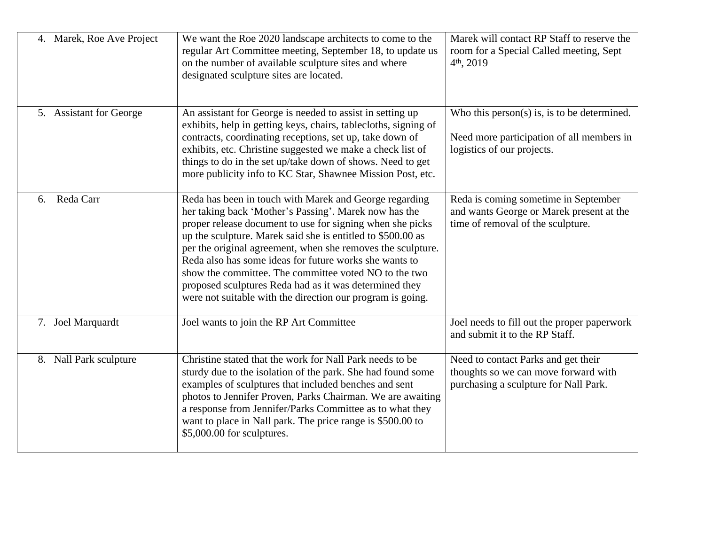| 4. Marek, Roe Ave Project | We want the Roe 2020 landscape architects to come to the<br>regular Art Committee meeting, September 18, to update us<br>on the number of available sculpture sites and where<br>designated sculpture sites are located.                                                                                                                                                                                                                                                                                                                              | Marek will contact RP Staff to reserve the<br>room for a Special Called meeting, Sept<br>$4th$ , 2019                  |
|---------------------------|-------------------------------------------------------------------------------------------------------------------------------------------------------------------------------------------------------------------------------------------------------------------------------------------------------------------------------------------------------------------------------------------------------------------------------------------------------------------------------------------------------------------------------------------------------|------------------------------------------------------------------------------------------------------------------------|
| 5. Assistant for George   | An assistant for George is needed to assist in setting up<br>exhibits, help in getting keys, chairs, tablecloths, signing of<br>contracts, coordinating receptions, set up, take down of<br>exhibits, etc. Christine suggested we make a check list of<br>things to do in the set up/take down of shows. Need to get<br>more publicity info to KC Star, Shawnee Mission Post, etc.                                                                                                                                                                    | Who this person(s) is, is to be determined.<br>Need more participation of all members in<br>logistics of our projects. |
| Reda Carr<br>6.           | Reda has been in touch with Marek and George regarding<br>her taking back 'Mother's Passing'. Marek now has the<br>proper release document to use for signing when she picks<br>up the sculpture. Marek said she is entitled to \$500.00 as<br>per the original agreement, when she removes the sculpture.<br>Reda also has some ideas for future works she wants to<br>show the committee. The committee voted NO to the two<br>proposed sculptures Reda had as it was determined they<br>were not suitable with the direction our program is going. | Reda is coming sometime in September<br>and wants George or Marek present at the<br>time of removal of the sculpture.  |
| 7. Joel Marquardt         | Joel wants to join the RP Art Committee                                                                                                                                                                                                                                                                                                                                                                                                                                                                                                               | Joel needs to fill out the proper paperwork<br>and submit it to the RP Staff.                                          |
| 8. Nall Park sculpture    | Christine stated that the work for Nall Park needs to be<br>sturdy due to the isolation of the park. She had found some<br>examples of sculptures that included benches and sent<br>photos to Jennifer Proven, Parks Chairman. We are awaiting<br>a response from Jennifer/Parks Committee as to what they<br>want to place in Nall park. The price range is \$500.00 to<br>\$5,000.00 for sculptures.                                                                                                                                                | Need to contact Parks and get their<br>thoughts so we can move forward with<br>purchasing a sculpture for Nall Park.   |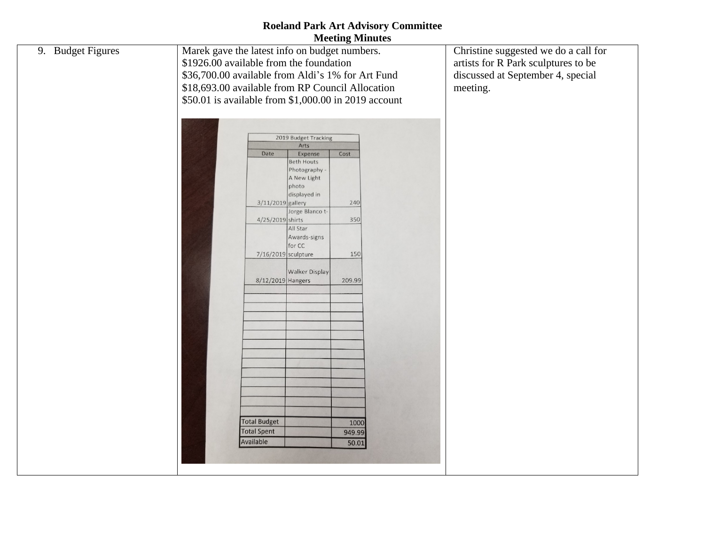## **Roeland Park Art Advisory Committee Meeting Minutes**

| 9. Budget Figures | Marek gave the latest info on budget numbers.<br>\$1926.00 available from the foundation<br>\$36,700.00 available from Aldi's 1% for Art Fund<br>\$18,693.00 available from RP Council Allocation                                                                                                                                                                                                                                                                                      | Christine suggested we do a call for<br>artists for R Park sculptures to be<br>discussed at September 4, special<br>meeting. |
|-------------------|----------------------------------------------------------------------------------------------------------------------------------------------------------------------------------------------------------------------------------------------------------------------------------------------------------------------------------------------------------------------------------------------------------------------------------------------------------------------------------------|------------------------------------------------------------------------------------------------------------------------------|
|                   | \$50.01 is available from \$1,000.00 in 2019 account<br>2019 Budget Tracking<br>Arts<br>Date<br>Expense<br>Cost<br><b>Beth Houts</b><br>Photography<br>A New Light<br>photo<br>displayed in<br>3/11/2019 gallery<br>240<br>Jorge Blanco t-<br>350<br>4/25/2019 shirts<br>All Star<br>Awards-signs<br>for CC<br>150<br>7/16/2019 sculpture<br><b>Walker Display</b><br>8/12/2019 Hangers<br>209.99<br><b>Total Budget</b><br>1000<br><b>Total Spent</b><br>949.99<br>Available<br>50.01 |                                                                                                                              |
|                   |                                                                                                                                                                                                                                                                                                                                                                                                                                                                                        |                                                                                                                              |